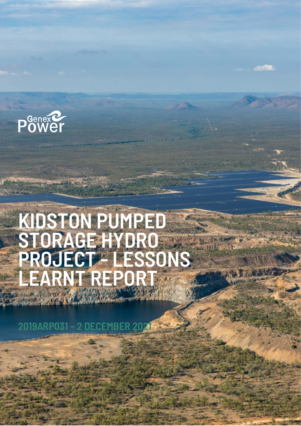

# **KIDSTON PUMPED STORAGE HYDRO PROJECT - LESSONS LEARNT REPORT**

**2019ARP031 – 2 DECEMBER 2021**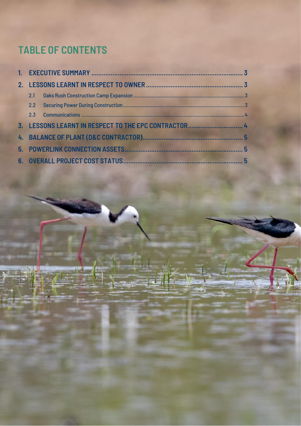## **TABLE OF CONTENTS**

| 2.1 |  |  |
|-----|--|--|
|     |  |  |
|     |  |  |
|     |  |  |
|     |  |  |
|     |  |  |
|     |  |  |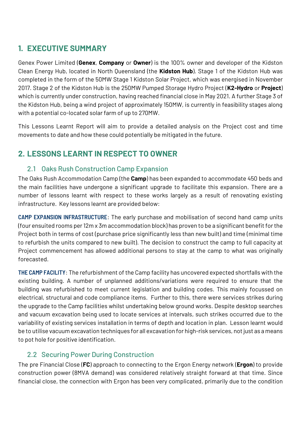## <span id="page-2-0"></span>**1. EXECUTIVE SUMMARY**

Genex Power Limited (**Genex**, **Company** or **Owner**) is the 100% owner and developer of the Kidston Clean Energy Hub, located in North Queensland (the **Kidston Hub**). Stage 1 of the Kidston Hub was completed in the form of the 50MW Stage 1 Kidston Solar Project, which was energised in November 2017. Stage 2 of the Kidston Hub is the 250MW Pumped Storage Hydro Project (**K2-Hydro** or **Project**) which is currently under construction, having reached financial close in May 2021. A further Stage 3 of the Kidston Hub, being a wind project of approximately 150MW, is currently in feasibility stages along with a potential co-located solar farm of up to 270MW.

This Lessons Learnt Report will aim to provide a detailed analysis on the Project cost and time movements to date and how these could potentially be mitigated in the future.

## <span id="page-2-1"></span>**2. LESSONS LEARNT IN RESPECT TO OWNER**

#### <span id="page-2-2"></span>2.1 Oaks Rush Construction Camp Expansion

The Oaks Rush Accommodation Camp (the **Camp**) has been expanded to accommodate 450 beds and the main facilities have undergone a significant upgrade to facilitate this expansion. There are a number of lessons learnt with respect to these works largely as a result of renovating existing infrastructure. Key lessons learnt are provided below:

**CAMP EXPANSION INFRASTRUCTURE**: The early purchase and mobilisation of second hand camp units (four ensuited rooms per 12m x 3m accommodation block) has proven to be a significant benefit for the Project both in terms of cost (purchase price significantly less than new built) and time (minimal time to refurbish the units compared to new built). The decision to construct the camp to full capacity at Project commencement has allowed additional persons to stay at the camp to what was originally forecasted.

**THE CAMP FACILITY**: The refurbishment of the Camp facility has uncovered expected shortfalls with the existing building. A number of unplanned additions/variations were required to ensure that the building was refurbished to meet current legislation and building codes. This mainly focussed on electrical, structural and code compliance items. Further to this, there were services strikes during the upgrade to the Camp facilities whilst undertaking below ground works. Despite desktop searches and vacuum excavation being used to locate services at intervals, such strikes occurred due to the variability of existing services installation in terms of depth and location in plan. Lesson learnt would be to utilise vacuum excavation techniques for all excavation for high-risk services, not just as a means to pot hole for positive identification.

#### <span id="page-2-3"></span>2.2 Securing Power During Construction

The pre Financial Close (**FC**) approach to connecting to the Ergon Energy network (**Ergon**) to provide construction power (8MVA demand) was considered relatively straight forward at that time. Since financial close, the connection with Ergon has been very complicated, primarily due to the condition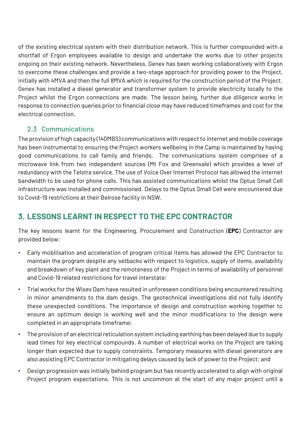of the existing electrical system with their distribution network. This is further compounded with a shortfall of Ergon employees available to design and undertake the works due to other projects ongoing on their existing network. Nevertheless, Genex has been working collaboratively with Ergon to overcome these challenges and provide a two-stage approach for providing power to the Project, initially with 4MVA and then the full 8MVA which is required for the construction period of the Project. Genex has installed a diesel generator and transformer system to provide electricity locally to the Project whilst the Ergon connections are made. The lesson being, further due diligence works in response to connection queries prior to financial close may have reduced timeframes and cost for the electrical connection.

#### <span id="page-3-0"></span>2.3 Communications

The provision of high capacity (140MBS) communications with respect to internet and mobile coverage has been instrumental to ensuring the Project workers wellbeing in the Camp is maintained by having good communications to call family and friends. The communications system comprises of a microwave link from two independent sources (Mt Fox and Greenvale) which provides a level of redundancy with the Telstra service. The use of Voice Over Internet Protocol has allowed the internet bandwidth to be used for phone calls. This has assisted communications whilst the Optus Small Cell infrastructure was installed and commissioned. Delays to the Optus Small Cell were encountered due to Covid-19 restrictions at their Belrose facility in NSW.

## <span id="page-3-1"></span>**3. LESSONS LEARNT IN RESPECT TO THE EPC CONTRACTOR**

The key lessons learnt for the Engineering, Procurement and Construction (**EPC**) Contractor are provided below:

- Early mobilisation and acceleration of program critical items has allowed the EPC Contractor to maintain the program despite any setbacks with respect to logistics, supply of items, availability and breakdown of key plant and the remoteness of the Project in terms of availability of personnel and Covid-19 related restrictions for travel interstate;
- Trial works for the Wises Dam have resulted in unforeseen conditions being encountered resulting in minor amendments to the dam design. The geotechnical investigations did not fully identify these unexpected conditions. The importance of design and construction working together to ensure an optimum design is working well and the minor modifications to the design were completed in an appropriate timeframe;
- The provision of an electrical reticulation system including earthing has been delayed due to supply lead times for key electrical compounds. A number of electrical works on the Project are taking longer than expected due to supply constraints. Temporary measures with diesel generators are also assisting EPC Contractor in mitigating delays caused by lack of power to the Project; and
- Design progression was initially behind program but has recently accelerated to align with original Project program expectations. This is not uncommon at the start of any major project until a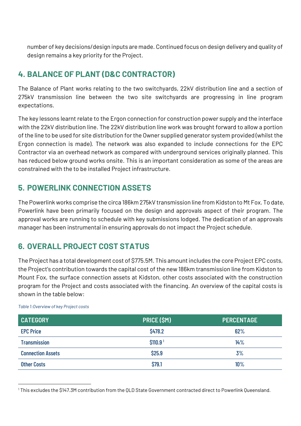number of key decisions/design inputs are made. Continued focus on design delivery and quality of design remains a key priority for the Project.

## <span id="page-4-0"></span>**4. BALANCE OF PLANT (D&C CONTRACTOR)**

The Balance of Plant works relating to the two switchyards, 22kV distribution line and a section of 275kV transmission line between the two site switchyards are progressing in line program expectations.

The key lessons learnt relate to the Ergon connection for construction power supply and the interface with the 22kV distribution line. The 22kV distribution line work was brought forward to allow a portion of the line to be used for site distribution for the Owner supplied generator system provided (whilst the Ergon connection is made). The network was also expanded to include connections for the EPC Contractor via an overhead network as compared with underground services originally planned. This has reduced below ground works onsite. This is an important consideration as some of the areas are constrained with the to be installed Project infrastructure.

### <span id="page-4-1"></span>**5. POWERLINK CONNECTION ASSETS**

The Powerlink works comprise the circa 186km 275kV transmission line from Kidston to Mt Fox. To date, Powerlink have been primarily focused on the design and approvals aspect of their program. The approval works are running to schedule with key submissions lodged. The dedication of an approvals manager has been instrumental in ensuring approvals do not impact the Project schedule.

## <span id="page-4-2"></span>**6. OVERALL PROJECT COST STATUS**

The Project has a total development cost of \$775.5M. This amount includes the core Project EPC costs, the Project's contribution towards the capital cost of the new 186km transmission line from Kidston to Mount Fox, the surface connection assets at Kidston, other costs associated with the construction program for the Project and costs associated with the financing. An overview of the capital costs is shown in the table below:

| <b>CATEGORY</b>          | PRICE (SM)           | <b>PERCENTAGE</b> |
|--------------------------|----------------------|-------------------|
| <b>EPC Price</b>         | \$478.2              | 62%               |
| <b>Transmission</b>      | \$110.9 <sup>1</sup> | 14%               |
| <b>Connection Assets</b> | \$25.9               | 3%                |
| <b>Other Costs</b>       | \$79.1               | 10%               |

*Table 1:Overview of key Project costs*

<sup>1</sup> This excludes the \$147.3M contribution from the QLD State Government contracted direct to Powerlink Queensland.